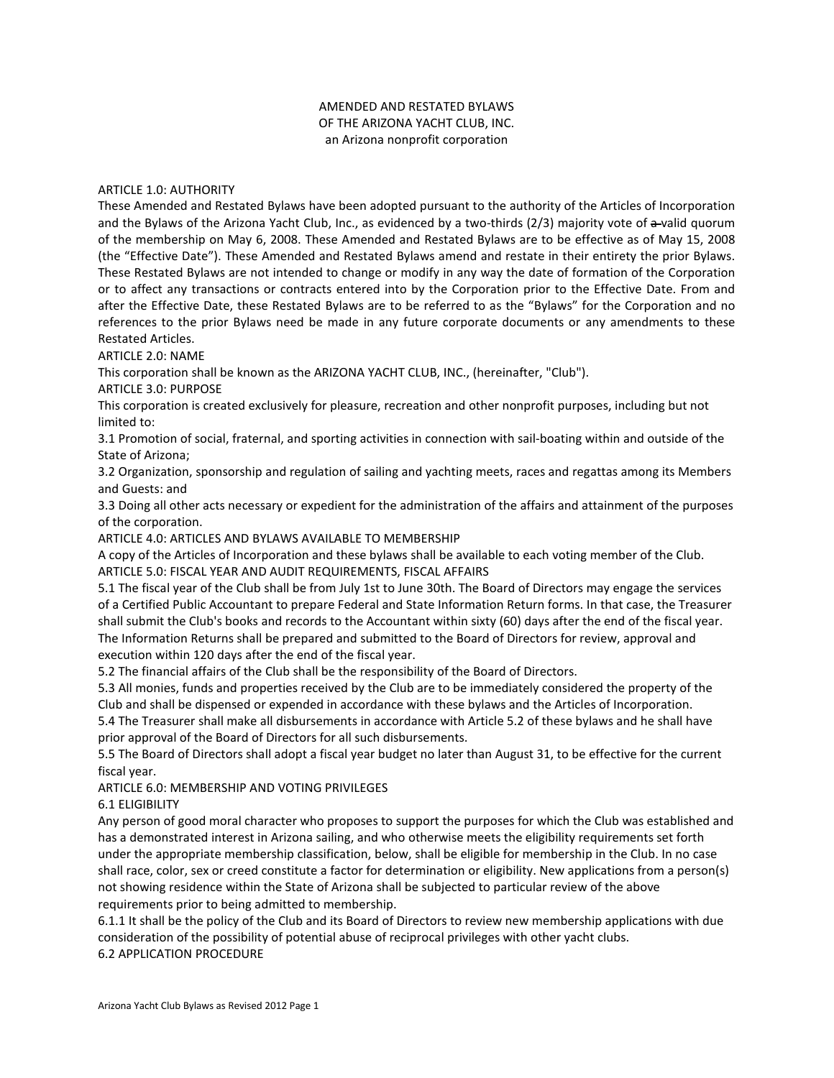# AMENDED AND RESTATED BYLAWS OF THE ARIZONA YACHT CLUB, INC. an Arizona nonprofit corporation

#### ARTICLE 1.0: AUTHORITY

These Amended and Restated Bylaws have been adopted pursuant to the authority of the Articles of Incorporation and the Bylaws of the Arizona Yacht Club, Inc., as evidenced by a two-thirds (2/3) majority vote of a-valid quorum of the membership on May 6, 2008. These Amended and Restated Bylaws are to be effective as of May 15, 2008 (the "Effective Date"). These Amended and Restated Bylaws amend and restate in their entirety the prior Bylaws. These Restated Bylaws are not intended to change or modify in any way the date of formation of the Corporation or to affect any transactions or contracts entered into by the Corporation prior to the Effective Date. From and after the Effective Date, these Restated Bylaws are to be referred to as the "Bylaws" for the Corporation and no references to the prior Bylaws need be made in any future corporate documents or any amendments to these Restated Articles.

ARTICLE 2.0: NAME

This corporation shall be known as the ARIZONA YACHT CLUB, INC., (hereinafter, "Club").

ARTICLE 3.0: PURPOSE

This corporation is created exclusively for pleasure, recreation and other nonprofit purposes, including but not limited to:

3.1 Promotion of social, fraternal, and sporting activities in connection with sail-boating within and outside of the State of Arizona;

3.2 Organization, sponsorship and regulation of sailing and yachting meets, races and regattas among its Members and Guests: and

3.3 Doing all other acts necessary or expedient for the administration of the affairs and attainment of the purposes of the corporation.

ARTICLE 4.0: ARTICLES AND BYLAWS AVAILABLE TO MEMBERSHIP

A copy of the Articles of Incorporation and these bylaws shall be available to each voting member of the Club. ARTICLE 5.0: FISCAL YEAR AND AUDIT REQUIREMENTS, FISCAL AFFAIRS

5.1 The fiscal year of the Club shall be from July 1st to June 30th. The Board of Directors may engage the services of a Certified Public Accountant to prepare Federal and State Information Return forms. In that case, the Treasurer shall submit the Club's books and records to the Accountant within sixty (60) days after the end of the fiscal year. The Information Returns shall be prepared and submitted to the Board of Directors for review, approval and execution within 120 days after the end of the fiscal year.

5.2 The financial affairs of the Club shall be the responsibility of the Board of Directors.

5.3 All monies, funds and properties received by the Club are to be immediately considered the property of the Club and shall be dispensed or expended in accordance with these bylaws and the Articles of Incorporation. 5.4 The Treasurer shall make all disbursements in accordance with Article 5.2 of these bylaws and he shall have prior approval of the Board of Directors for all such disbursements.

5.5 The Board of Directors shall adopt a fiscal year budget no later than August 31, to be effective for the current fiscal year.

ARTICLE 6.0: MEMBERSHIP AND VOTING PRIVILEGES

## 6.1 ELIGIBILITY

Any person of good moral character who proposes to support the purposes for which the Club was established and has a demonstrated interest in Arizona sailing, and who otherwise meets the eligibility requirements set forth under the appropriate membership classification, below, shall be eligible for membership in the Club. In no case shall race, color, sex or creed constitute a factor for determination or eligibility. New applications from a person(s) not showing residence within the State of Arizona shall be subjected to particular review of the above requirements prior to being admitted to membership.

6.1.1 It shall be the policy of the Club and its Board of Directors to review new membership applications with due consideration of the possibility of potential abuse of reciprocal privileges with other yacht clubs. 6.2 APPLICATION PROCEDURE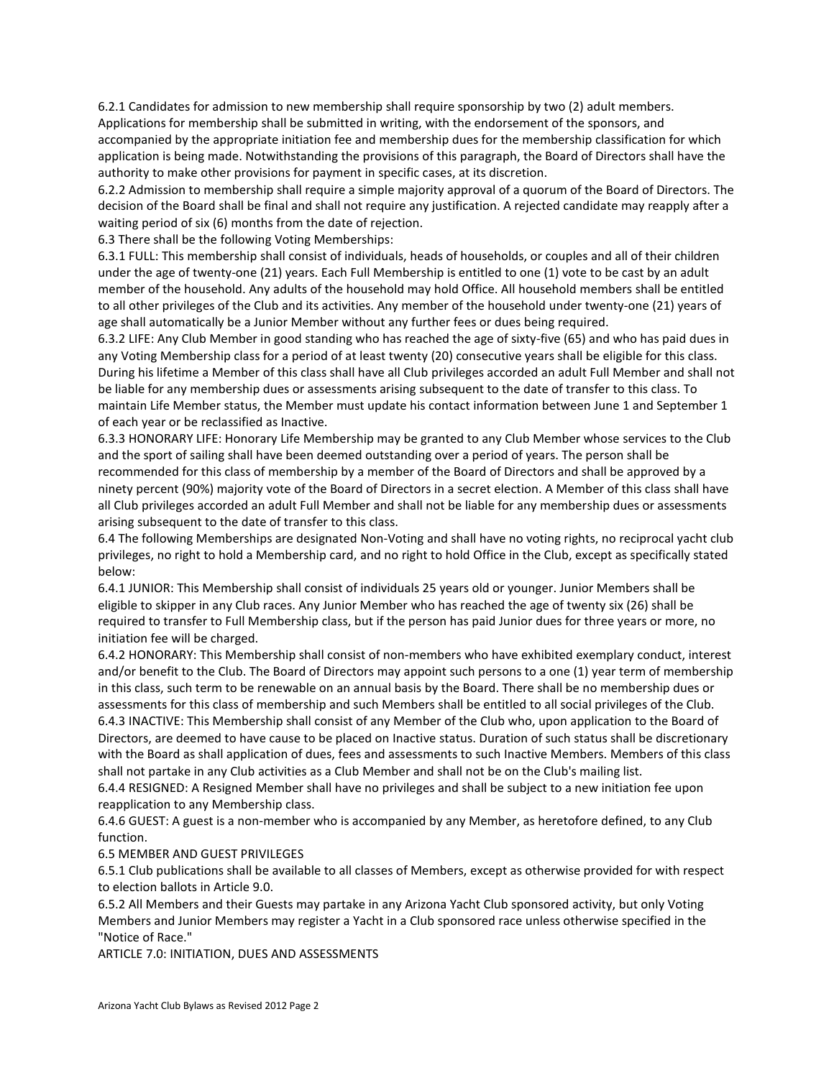6.2.1 Candidates for admission to new membership shall require sponsorship by two (2) adult members. Applications for membership shall be submitted in writing, with the endorsement of the sponsors, and accompanied by the appropriate initiation fee and membership dues for the membership classification for which application is being made. Notwithstanding the provisions of this paragraph, the Board of Directors shall have the authority to make other provisions for payment in specific cases, at its discretion.

6.2.2 Admission to membership shall require a simple majority approval of a quorum of the Board of Directors. The decision of the Board shall be final and shall not require any justification. A rejected candidate may reapply after a waiting period of six (6) months from the date of rejection.

6.3 There shall be the following Voting Memberships:

6.3.1 FULL: This membership shall consist of individuals, heads of households, or couples and all of their children under the age of twenty-one (21) years. Each Full Membership is entitled to one (1) vote to be cast by an adult member of the household. Any adults of the household may hold Office. All household members shall be entitled to all other privileges of the Club and its activities. Any member of the household under twenty-one (21) years of age shall automatically be a Junior Member without any further fees or dues being required.

6.3.2 LIFE: Any Club Member in good standing who has reached the age of sixty-five (65) and who has paid dues in any Voting Membership class for a period of at least twenty (20) consecutive years shall be eligible for this class. During his lifetime a Member of this class shall have all Club privileges accorded an adult Full Member and shall not be liable for any membership dues or assessments arising subsequent to the date of transfer to this class. To maintain Life Member status, the Member must update his contact information between June 1 and September 1 of each year or be reclassified as Inactive.

6.3.3 HONORARY LIFE: Honorary Life Membership may be granted to any Club Member whose services to the Club and the sport of sailing shall have been deemed outstanding over a period of years. The person shall be recommended for this class of membership by a member of the Board of Directors and shall be approved by a ninety percent (90%) majority vote of the Board of Directors in a secret election. A Member of this class shall have all Club privileges accorded an adult Full Member and shall not be liable for any membership dues or assessments arising subsequent to the date of transfer to this class.

6.4 The following Memberships are designated Non-Voting and shall have no voting rights, no reciprocal yacht club privileges, no right to hold a Membership card, and no right to hold Office in the Club, except as specifically stated below:

6.4.1 JUNIOR: This Membership shall consist of individuals 25 years old or younger. Junior Members shall be eligible to skipper in any Club races. Any Junior Member who has reached the age of twenty six (26) shall be required to transfer to Full Membership class, but if the person has paid Junior dues for three years or more, no initiation fee will be charged.

6.4.2 HONORARY: This Membership shall consist of non-members who have exhibited exemplary conduct, interest and/or benefit to the Club. The Board of Directors may appoint such persons to a one (1) year term of membership in this class, such term to be renewable on an annual basis by the Board. There shall be no membership dues or assessments for this class of membership and such Members shall be entitled to all social privileges of the Club. 6.4.3 INACTIVE: This Membership shall consist of any Member of the Club who, upon application to the Board of Directors, are deemed to have cause to be placed on Inactive status. Duration of such status shall be discretionary with the Board as shall application of dues, fees and assessments to such Inactive Members. Members of this class shall not partake in any Club activities as a Club Member and shall not be on the Club's mailing list.

6.4.4 RESIGNED: A Resigned Member shall have no privileges and shall be subject to a new initiation fee upon reapplication to any Membership class.

6.4.6 GUEST: A guest is a non-member who is accompanied by any Member, as heretofore defined, to any Club function.

6.5 MEMBER AND GUEST PRIVILEGES

6.5.1 Club publications shall be available to all classes of Members, except as otherwise provided for with respect to election ballots in Article 9.0.

6.5.2 All Members and their Guests may partake in any Arizona Yacht Club sponsored activity, but only Voting Members and Junior Members may register a Yacht in a Club sponsored race unless otherwise specified in the "Notice of Race."

ARTICLE 7.0: INITIATION, DUES AND ASSESSMENTS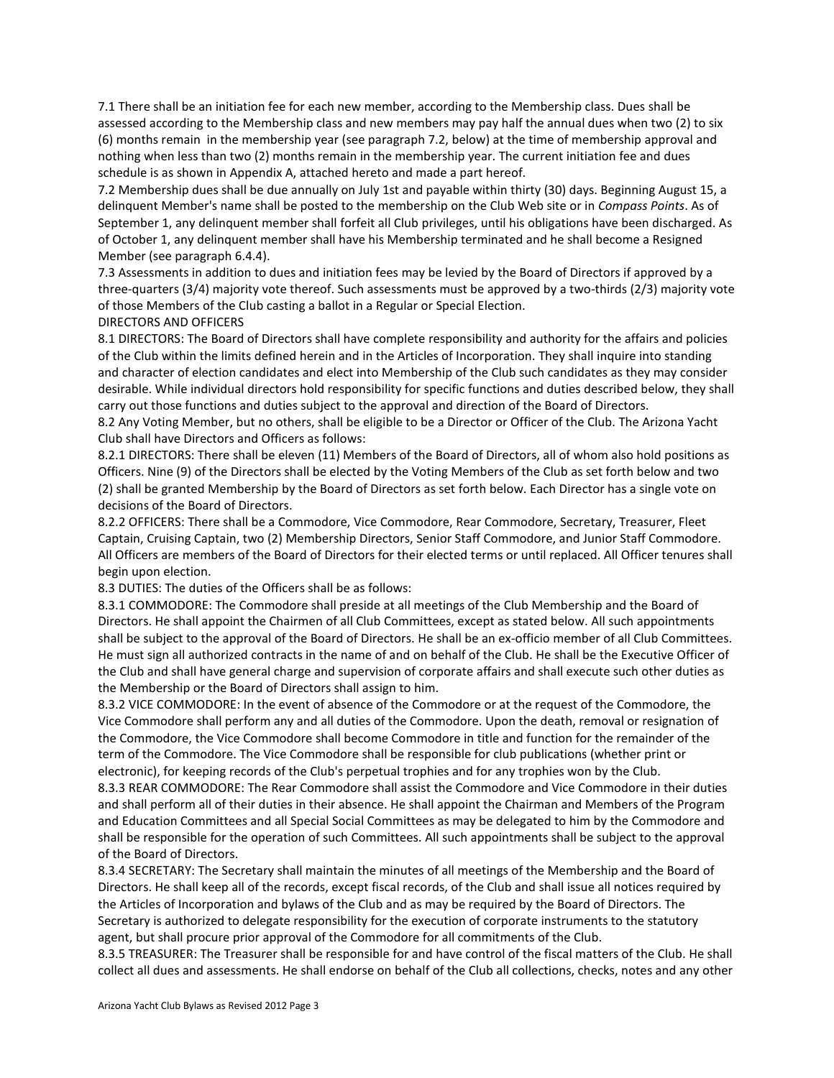7.1 There shall be an initiation fee for each new member, according to the Membership class. Dues shall be assessed according to the Membership class and new members may pay half the annual dues when two (2) to six (6) months remain in the membership year (see paragraph 7.2, below) at the time of membership approval and nothing when less than two (2) months remain in the membership year. The current initiation fee and dues schedule is as shown in Appendix A, attached hereto and made a part hereof.

7.2 Membership dues shall be due annually on July 1st and payable within thirty (30) days. Beginning August 15, a delinquent Member's name shall be posted to the membership on the Club Web site or in *Compass Points*. As of September 1, any delinquent member shall forfeit all Club privileges, until his obligations have been discharged. As of October 1, any delinquent member shall have his Membership terminated and he shall become a Resigned Member (see paragraph 6.4.4).

7.3 Assessments in addition to dues and initiation fees may be levied by the Board of Directors if approved by a three-quarters (3/4) majority vote thereof. Such assessments must be approved by a two-thirds (2/3) majority vote of those Members of the Club casting a ballot in a Regular or Special Election.

## DIRECTORS AND OFFICERS

8.1 DIRECTORS: The Board of Directors shall have complete responsibility and authority for the affairs and policies of the Club within the limits defined herein and in the Articles of Incorporation. They shall inquire into standing and character of election candidates and elect into Membership of the Club such candidates as they may consider desirable. While individual directors hold responsibility for specific functions and duties described below, they shall carry out those functions and duties subject to the approval and direction of the Board of Directors.

8.2 Any Voting Member, but no others, shall be eligible to be a Director or Officer of the Club. The Arizona Yacht Club shall have Directors and Officers as follows:

8.2.1 DIRECTORS: There shall be eleven (11) Members of the Board of Directors, all of whom also hold positions as Officers. Nine (9) of the Directors shall be elected by the Voting Members of the Club as set forth below and two (2) shall be granted Membership by the Board of Directors as set forth below. Each Director has a single vote on decisions of the Board of Directors.

8.2.2 OFFICERS: There shall be a Commodore, Vice Commodore, Rear Commodore, Secretary, Treasurer, Fleet Captain, Cruising Captain, two (2) Membership Directors, Senior Staff Commodore, and Junior Staff Commodore. All Officers are members of the Board of Directors for their elected terms or until replaced. All Officer tenures shall begin upon election.

8.3 DUTIES: The duties of the Officers shall be as follows:

8.3.1 COMMODORE: The Commodore shall preside at all meetings of the Club Membership and the Board of Directors. He shall appoint the Chairmen of all Club Committees, except as stated below. All such appointments shall be subject to the approval of the Board of Directors. He shall be an ex-officio member of all Club Committees. He must sign all authorized contracts in the name of and on behalf of the Club. He shall be the Executive Officer of the Club and shall have general charge and supervision of corporate affairs and shall execute such other duties as the Membership or the Board of Directors shall assign to him.

8.3.2 VICE COMMODORE: In the event of absence of the Commodore or at the request of the Commodore, the Vice Commodore shall perform any and all duties of the Commodore. Upon the death, removal or resignation of the Commodore, the Vice Commodore shall become Commodore in title and function for the remainder of the term of the Commodore. The Vice Commodore shall be responsible for club publications (whether print or electronic), for keeping records of the Club's perpetual trophies and for any trophies won by the Club.

8.3.3 REAR COMMODORE: The Rear Commodore shall assist the Commodore and Vice Commodore in their duties and shall perform all of their duties in their absence. He shall appoint the Chairman and Members of the Program and Education Committees and all Special Social Committees as may be delegated to him by the Commodore and shall be responsible for the operation of such Committees. All such appointments shall be subject to the approval of the Board of Directors.

8.3.4 SECRETARY: The Secretary shall maintain the minutes of all meetings of the Membership and the Board of Directors. He shall keep all of the records, except fiscal records, of the Club and shall issue all notices required by the Articles of Incorporation and bylaws of the Club and as may be required by the Board of Directors. The Secretary is authorized to delegate responsibility for the execution of corporate instruments to the statutory agent, but shall procure prior approval of the Commodore for all commitments of the Club.

8.3.5 TREASURER: The Treasurer shall be responsible for and have control of the fiscal matters of the Club. He shall collect all dues and assessments. He shall endorse on behalf of the Club all collections, checks, notes and any other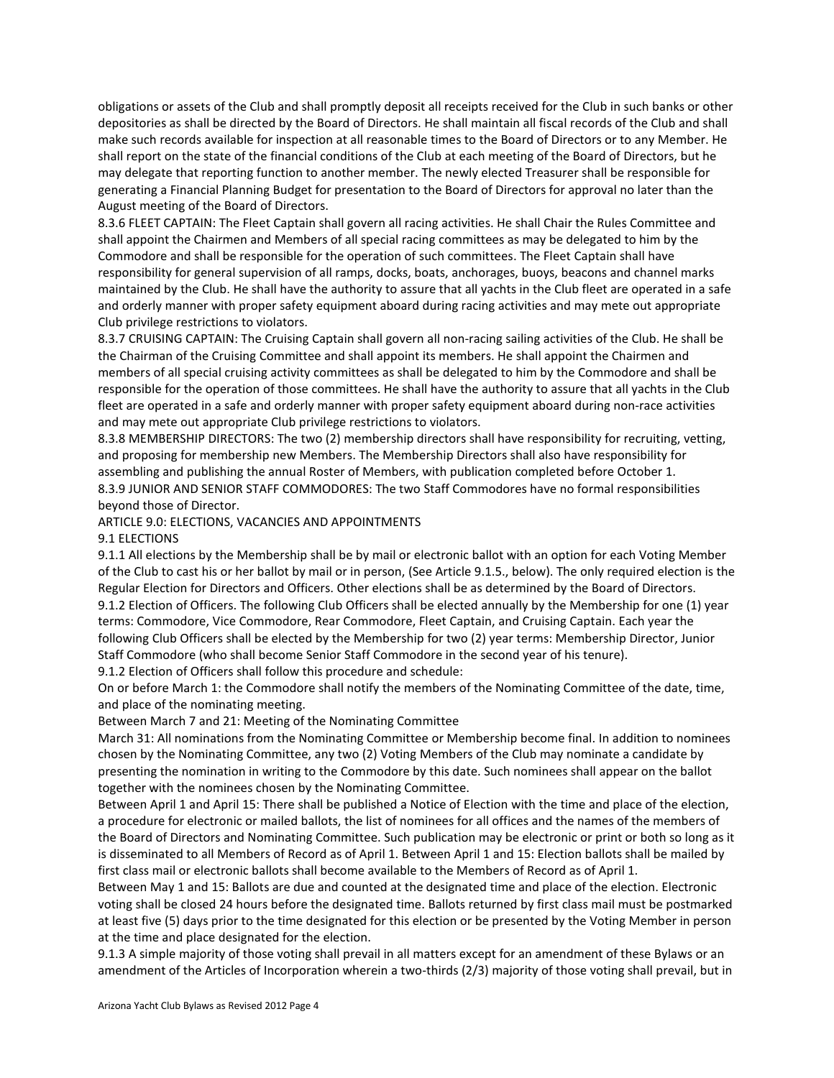obligations or assets of the Club and shall promptly deposit all receipts received for the Club in such banks or other depositories as shall be directed by the Board of Directors. He shall maintain all fiscal records of the Club and shall make such records available for inspection at all reasonable times to the Board of Directors or to any Member. He shall report on the state of the financial conditions of the Club at each meeting of the Board of Directors, but he may delegate that reporting function to another member. The newly elected Treasurer shall be responsible for generating a Financial Planning Budget for presentation to the Board of Directors for approval no later than the August meeting of the Board of Directors.

8.3.6 FLEET CAPTAIN: The Fleet Captain shall govern all racing activities. He shall Chair the Rules Committee and shall appoint the Chairmen and Members of all special racing committees as may be delegated to him by the Commodore and shall be responsible for the operation of such committees. The Fleet Captain shall have responsibility for general supervision of all ramps, docks, boats, anchorages, buoys, beacons and channel marks maintained by the Club. He shall have the authority to assure that all yachts in the Club fleet are operated in a safe and orderly manner with proper safety equipment aboard during racing activities and may mete out appropriate Club privilege restrictions to violators.

8.3.7 CRUISING CAPTAIN: The Cruising Captain shall govern all non-racing sailing activities of the Club. He shall be the Chairman of the Cruising Committee and shall appoint its members. He shall appoint the Chairmen and members of all special cruising activity committees as shall be delegated to him by the Commodore and shall be responsible for the operation of those committees. He shall have the authority to assure that all yachts in the Club fleet are operated in a safe and orderly manner with proper safety equipment aboard during non-race activities and may mete out appropriate Club privilege restrictions to violators.

8.3.8 MEMBERSHIP DIRECTORS: The two (2) membership directors shall have responsibility for recruiting, vetting, and proposing for membership new Members. The Membership Directors shall also have responsibility for assembling and publishing the annual Roster of Members, with publication completed before October 1. 8.3.9 JUNIOR AND SENIOR STAFF COMMODORES: The two Staff Commodores have no formal responsibilities beyond those of Director.

## ARTICLE 9.0: ELECTIONS, VACANCIES AND APPOINTMENTS

#### 9.1 ELECTIONS

9.1.1 All elections by the Membership shall be by mail or electronic ballot with an option for each Voting Member of the Club to cast his or her ballot by mail or in person, (See Article 9.1.5., below). The only required election is the Regular Election for Directors and Officers. Other elections shall be as determined by the Board of Directors. 9.1.2 Election of Officers. The following Club Officers shall be elected annually by the Membership for one (1) year terms: Commodore, Vice Commodore, Rear Commodore, Fleet Captain, and Cruising Captain. Each year the following Club Officers shall be elected by the Membership for two (2) year terms: Membership Director, Junior Staff Commodore (who shall become Senior Staff Commodore in the second year of his tenure).

9.1.2 Election of Officers shall follow this procedure and schedule:

On or before March 1: the Commodore shall notify the members of the Nominating Committee of the date, time, and place of the nominating meeting.

Between March 7 and 21: Meeting of the Nominating Committee

March 31: All nominations from the Nominating Committee or Membership become final. In addition to nominees chosen by the Nominating Committee, any two (2) Voting Members of the Club may nominate a candidate by presenting the nomination in writing to the Commodore by this date. Such nominees shall appear on the ballot together with the nominees chosen by the Nominating Committee.

Between April 1 and April 15: There shall be published a Notice of Election with the time and place of the election, a procedure for electronic or mailed ballots, the list of nominees for all offices and the names of the members of the Board of Directors and Nominating Committee. Such publication may be electronic or print or both so long as it is disseminated to all Members of Record as of April 1. Between April 1 and 15: Election ballots shall be mailed by first class mail or electronic ballots shall become available to the Members of Record as of April 1.

Between May 1 and 15: Ballots are due and counted at the designated time and place of the election. Electronic voting shall be closed 24 hours before the designated time. Ballots returned by first class mail must be postmarked at least five (5) days prior to the time designated for this election or be presented by the Voting Member in person at the time and place designated for the election.

9.1.3 A simple majority of those voting shall prevail in all matters except for an amendment of these Bylaws or an amendment of the Articles of Incorporation wherein a two-thirds (2/3) majority of those voting shall prevail, but in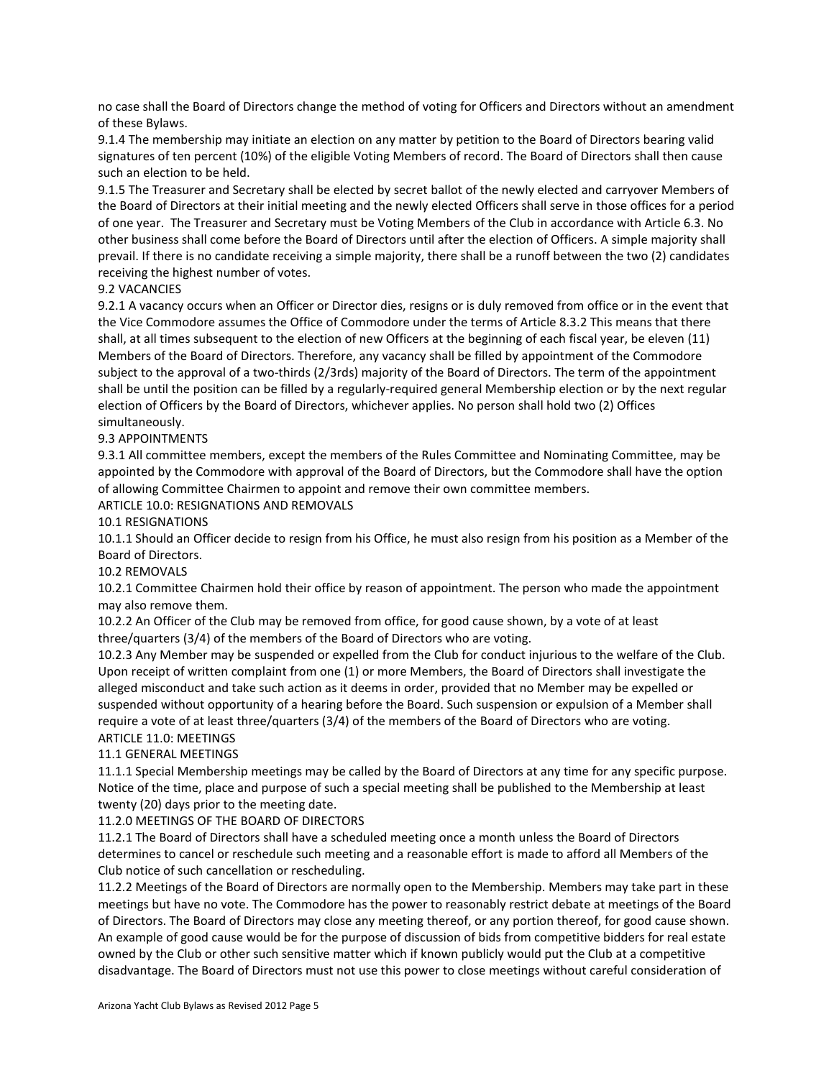no case shall the Board of Directors change the method of voting for Officers and Directors without an amendment of these Bylaws.

9.1.4 The membership may initiate an election on any matter by petition to the Board of Directors bearing valid signatures of ten percent (10%) of the eligible Voting Members of record. The Board of Directors shall then cause such an election to be held.

9.1.5 The Treasurer and Secretary shall be elected by secret ballot of the newly elected and carryover Members of the Board of Directors at their initial meeting and the newly elected Officers shall serve in those offices for a period of one year. The Treasurer and Secretary must be Voting Members of the Club in accordance with Article 6.3. No other business shall come before the Board of Directors until after the election of Officers. A simple majority shall prevail. If there is no candidate receiving a simple majority, there shall be a runoff between the two (2) candidates receiving the highest number of votes.

# 9.2 VACANCIES

9.2.1 A vacancy occurs when an Officer or Director dies, resigns or is duly removed from office or in the event that the Vice Commodore assumes the Office of Commodore under the terms of Article 8.3.2 This means that there shall, at all times subsequent to the election of new Officers at the beginning of each fiscal year, be eleven (11) Members of the Board of Directors. Therefore, any vacancy shall be filled by appointment of the Commodore subject to the approval of a two-thirds (2/3rds) majority of the Board of Directors. The term of the appointment shall be until the position can be filled by a regularly-required general Membership election or by the next regular election of Officers by the Board of Directors, whichever applies. No person shall hold two (2) Offices simultaneously.

## 9.3 APPOINTMENTS

9.3.1 All committee members, except the members of the Rules Committee and Nominating Committee, may be appointed by the Commodore with approval of the Board of Directors, but the Commodore shall have the option of allowing Committee Chairmen to appoint and remove their own committee members.

ARTICLE 10.0: RESIGNATIONS AND REMOVALS

10.1 RESIGNATIONS

10.1.1 Should an Officer decide to resign from his Office, he must also resign from his position as a Member of the Board of Directors.

## 10.2 REMOVALS

10.2.1 Committee Chairmen hold their office by reason of appointment. The person who made the appointment may also remove them.

10.2.2 An Officer of the Club may be removed from office, for good cause shown, by a vote of at least three/quarters (3/4) of the members of the Board of Directors who are voting.

10.2.3 Any Member may be suspended or expelled from the Club for conduct injurious to the welfare of the Club. Upon receipt of written complaint from one (1) or more Members, the Board of Directors shall investigate the alleged misconduct and take such action as it deems in order, provided that no Member may be expelled or suspended without opportunity of a hearing before the Board. Such suspension or expulsion of a Member shall require a vote of at least three/quarters (3/4) of the members of the Board of Directors who are voting. ARTICLE 11.0: MEETINGS

# 11.1 GENERAL MEETINGS

11.1.1 Special Membership meetings may be called by the Board of Directors at any time for any specific purpose. Notice of the time, place and purpose of such a special meeting shall be published to the Membership at least twenty (20) days prior to the meeting date.

11.2.0 MEETINGS OF THE BOARD OF DIRECTORS

11.2.1 The Board of Directors shall have a scheduled meeting once a month unless the Board of Directors determines to cancel or reschedule such meeting and a reasonable effort is made to afford all Members of the Club notice of such cancellation or rescheduling.

11.2.2 Meetings of the Board of Directors are normally open to the Membership. Members may take part in these meetings but have no vote. The Commodore has the power to reasonably restrict debate at meetings of the Board of Directors. The Board of Directors may close any meeting thereof, or any portion thereof, for good cause shown. An example of good cause would be for the purpose of discussion of bids from competitive bidders for real estate owned by the Club or other such sensitive matter which if known publicly would put the Club at a competitive disadvantage. The Board of Directors must not use this power to close meetings without careful consideration of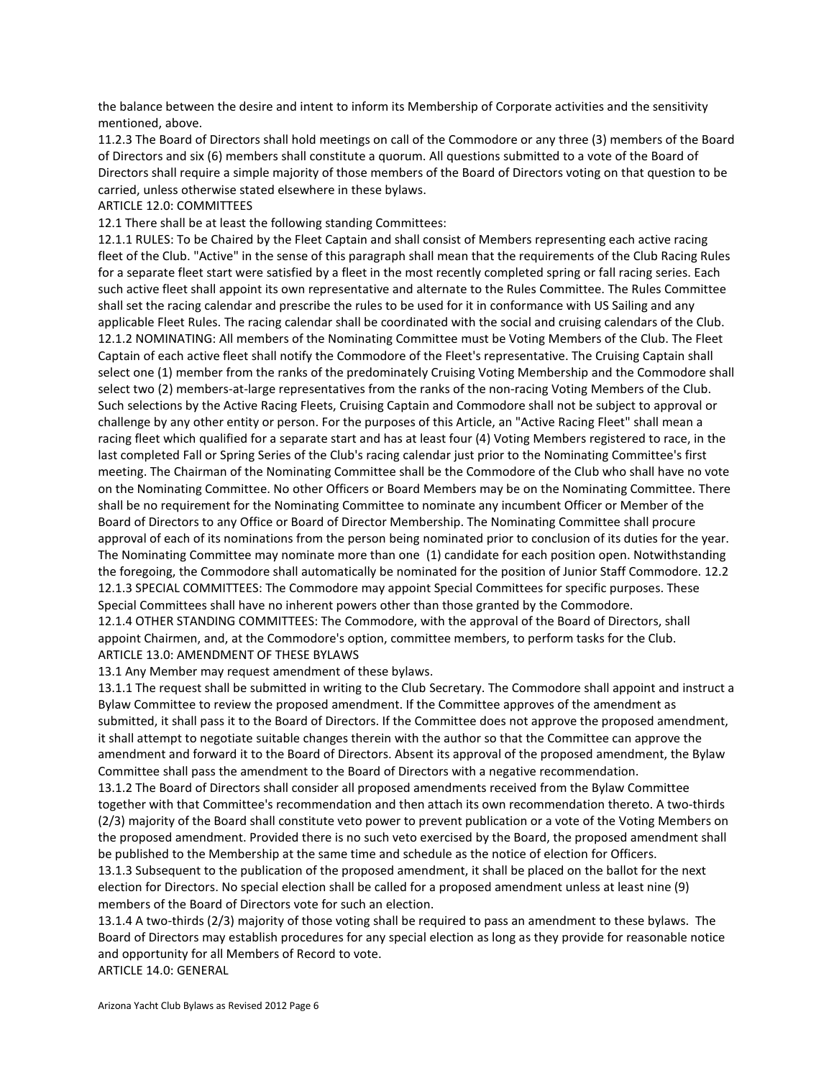the balance between the desire and intent to inform its Membership of Corporate activities and the sensitivity mentioned, above.

11.2.3 The Board of Directors shall hold meetings on call of the Commodore or any three (3) members of the Board of Directors and six (6) members shall constitute a quorum. All questions submitted to a vote of the Board of Directors shall require a simple majority of those members of the Board of Directors voting on that question to be carried, unless otherwise stated elsewhere in these bylaws.

#### ARTICLE 12.0: COMMITTEES

12.1 There shall be at least the following standing Committees:

12.1.1 RULES: To be Chaired by the Fleet Captain and shall consist of Members representing each active racing fleet of the Club. "Active" in the sense of this paragraph shall mean that the requirements of the Club Racing Rules for a separate fleet start were satisfied by a fleet in the most recently completed spring or fall racing series. Each such active fleet shall appoint its own representative and alternate to the Rules Committee. The Rules Committee shall set the racing calendar and prescribe the rules to be used for it in conformance with US Sailing and any applicable Fleet Rules. The racing calendar shall be coordinated with the social and cruising calendars of the Club. 12.1.2 NOMINATING: All members of the Nominating Committee must be Voting Members of the Club. The Fleet Captain of each active fleet shall notify the Commodore of the Fleet's representative. The Cruising Captain shall select one (1) member from the ranks of the predominately Cruising Voting Membership and the Commodore shall select two (2) members-at-large representatives from the ranks of the non-racing Voting Members of the Club. Such selections by the Active Racing Fleets, Cruising Captain and Commodore shall not be subject to approval or challenge by any other entity or person. For the purposes of this Article, an "Active Racing Fleet" shall mean a racing fleet which qualified for a separate start and has at least four (4) Voting Members registered to race, in the last completed Fall or Spring Series of the Club's racing calendar just prior to the Nominating Committee's first meeting. The Chairman of the Nominating Committee shall be the Commodore of the Club who shall have no vote on the Nominating Committee. No other Officers or Board Members may be on the Nominating Committee. There shall be no requirement for the Nominating Committee to nominate any incumbent Officer or Member of the Board of Directors to any Office or Board of Director Membership. The Nominating Committee shall procure approval of each of its nominations from the person being nominated prior to conclusion of its duties for the year. The Nominating Committee may nominate more than one (1) candidate for each position open. Notwithstanding the foregoing, the Commodore shall automatically be nominated for the position of Junior Staff Commodore. 12.2 12.1.3 SPECIAL COMMITTEES: The Commodore may appoint Special Committees for specific purposes. These Special Committees shall have no inherent powers other than those granted by the Commodore. 12.1.4 OTHER STANDING COMMITTEES: The Commodore, with the approval of the Board of Directors, shall

appoint Chairmen, and, at the Commodore's option, committee members, to perform tasks for the Club. ARTICLE 13.0: AMENDMENT OF THESE BYLAWS

13.1 Any Member may request amendment of these bylaws.

13.1.1 The request shall be submitted in writing to the Club Secretary. The Commodore shall appoint and instruct a Bylaw Committee to review the proposed amendment. If the Committee approves of the amendment as submitted, it shall pass it to the Board of Directors. If the Committee does not approve the proposed amendment, it shall attempt to negotiate suitable changes therein with the author so that the Committee can approve the amendment and forward it to the Board of Directors. Absent its approval of the proposed amendment, the Bylaw Committee shall pass the amendment to the Board of Directors with a negative recommendation.

13.1.2 The Board of Directors shall consider all proposed amendments received from the Bylaw Committee together with that Committee's recommendation and then attach its own recommendation thereto. A two-thirds (2/3) majority of the Board shall constitute veto power to prevent publication or a vote of the Voting Members on the proposed amendment. Provided there is no such veto exercised by the Board, the proposed amendment shall be published to the Membership at the same time and schedule as the notice of election for Officers. 13.1.3 Subsequent to the publication of the proposed amendment, it shall be placed on the ballot for the next election for Directors. No special election shall be called for a proposed amendment unless at least nine (9) members of the Board of Directors vote for such an election.

13.1.4 A two-thirds (2/3) majority of those voting shall be required to pass an amendment to these bylaws. The Board of Directors may establish procedures for any special election as long as they provide for reasonable notice and opportunity for all Members of Record to vote. ARTICLE 14.0: GENERAL

Arizona Yacht Club Bylaws as Revised 2012 Page 6